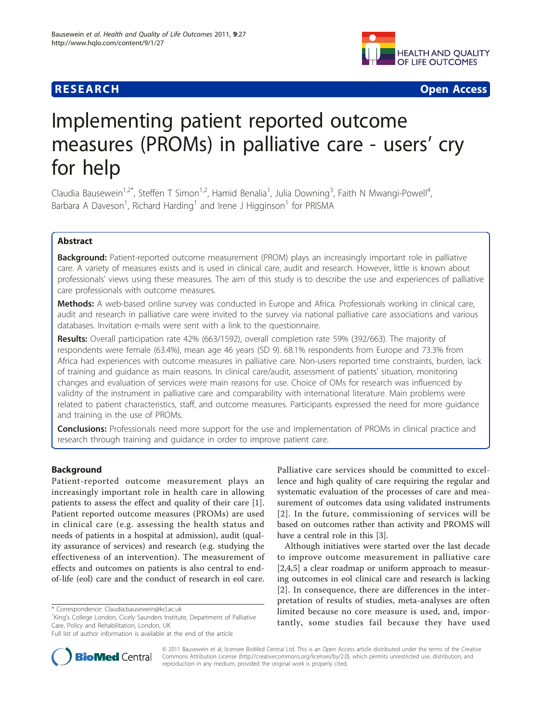## **RESEARCH CONTROL** CONTROL CONTROL CONTROL CONTROL CONTROL CONTROL CONTROL CONTROL CONTROL CONTROL CONTROL CONTROL CONTROL CONTROL CONTROL CONTROL CONTROL CONTROL CONTROL CONTROL CONTROL CONTROL CONTROL CONTROL CONTROL CON



# Implementing patient reported outcome measures (PROMs) in palliative care - users' cry for help

Claudia Bausewein<sup>1,2\*</sup>, Steffen T Simon<sup>1,2</sup>, Hamid Benalia<sup>1</sup>, Julia Downing<sup>3</sup>, Faith N Mwangi-Powell<sup>4</sup> , Barbara A Daveson<sup>1</sup>, Richard Harding<sup>1</sup> and Irene J Higginson<sup>1</sup> for PRISMA

## Abstract

**Background:** Patient-reported outcome measurement (PROM) plays an increasingly important role in palliative care. A variety of measures exists and is used in clinical care, audit and research. However, little is known about professionals' views using these measures. The aim of this study is to describe the use and experiences of palliative care professionals with outcome measures.

Methods: A web-based online survey was conducted in Europe and Africa. Professionals working in clinical care, audit and research in palliative care were invited to the survey via national palliative care associations and various databases. Invitation e-mails were sent with a link to the questionnaire.

Results: Overall participation rate 42% (663/1592), overall completion rate 59% (392/663). The majority of respondents were female (63.4%), mean age 46 years (SD 9). 68.1% respondents from Europe and 73.3% from Africa had experiences with outcome measures in palliative care. Non-users reported time constraints, burden, lack of training and guidance as main reasons. In clinical care/audit, assessment of patients' situation, monitoring changes and evaluation of services were main reasons for use. Choice of OMs for research was influenced by validity of the instrument in palliative care and comparability with international literature. Main problems were related to patient characteristics, staff, and outcome measures. Participants expressed the need for more guidance and training in the use of PROMs.

**Conclusions:** Professionals need more support for the use and implementation of PROMs in clinical practice and research through training and guidance in order to improve patient care.

## Background

Patient-reported outcome measurement plays an increasingly important role in health care in allowing patients to assess the effect and quality of their care [\[1](#page-9-0)]. Patient reported outcome measures (PROMs) are used in clinical care (e.g. assessing the health status and needs of patients in a hospital at admission), audit (quality assurance of services) and research (e.g. studying the effectiveness of an intervention). The measurement of effects and outcomes on patients is also central to endof-life (eol) care and the conduct of research in eol care.

\* Correspondence: [Claudia.bausewein@kcl.ac.uk](mailto:Claudia.bausewein@kcl.ac.uk)

<sup>1</sup>King's College London, Cicely Saunders Institute, Department of Palliative Care, Policy and Rehabilitation, London, UK

Palliative care services should be committed to excellence and high quality of care requiring the regular and systematic evaluation of the processes of care and measurement of outcomes data using validated instruments [[2\]](#page-9-0). In the future, commissioning of services will be based on outcomes rather than activity and PROMS will have a central role in this [\[3](#page-9-0)].

Although initiatives were started over the last decade to improve outcome measurement in palliative care [[2,4,5\]](#page-9-0) a clear roadmap or uniform approach to measuring outcomes in eol clinical care and research is lacking [[2](#page-9-0)]. In consequence, there are differences in the interpretation of results of studies, meta-analyses are often limited because no core measure is used, and, importantly, some studies fail because they have used



© 2011 Bausewein et al; licensee BioMed Central Ltd. This is an Open Access article distributed under the terms of the Creative Commons Attribution License [\(http://creativecommons.org/licenses/by/2.0](http://creativecommons.org/licenses/by/2.0)), which permits unrestricted use, distribution, and reproduction in any medium, provided the original work is properly cited.

Full list of author information is available at the end of the article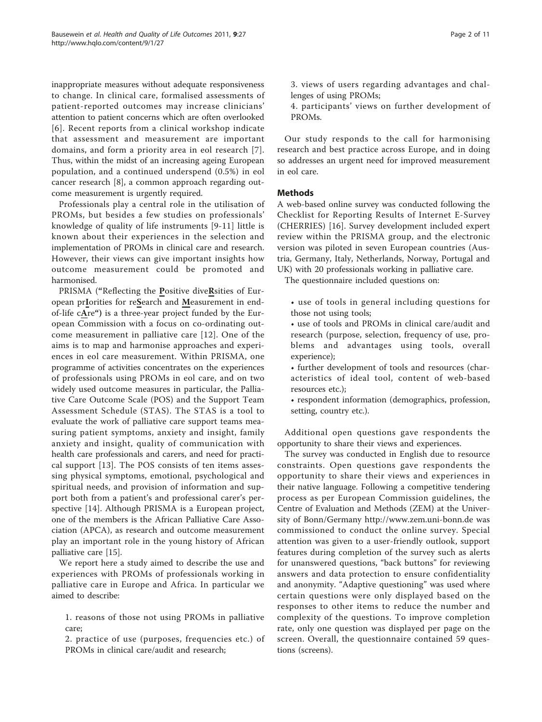inappropriate measures without adequate responsiveness to change. In clinical care, formalised assessments of patient-reported outcomes may increase clinicians' attention to patient concerns which are often overlooked [[6](#page-9-0)]. Recent reports from a clinical workshop indicate that assessment and measurement are important domains, and form a priority area in eol research [[7\]](#page-9-0). Thus, within the midst of an increasing ageing European population, and a continued underspend (0.5%) in eol cancer research [[8\]](#page-9-0), a common approach regarding outcome measurement is urgently required.

Professionals play a central role in the utilisation of PROMs, but besides a few studies on professionals' knowledge of quality of life instruments [\[9](#page-9-0)-[11](#page-9-0)] little is known about their experiences in the selection and implementation of PROMs in clinical care and research. However, their views can give important insights how outcome measurement could be promoted and harmonised.

PRISMA ("Reflecting the Positive diveRsities of European prIorities for reSearch and Measurement in endof-life cAre") is a three-year project funded by the European Commission with a focus on co-ordinating outcome measurement in palliative care [[12](#page-9-0)]. One of the aims is to map and harmonise approaches and experiences in eol care measurement. Within PRISMA, one programme of activities concentrates on the experiences of professionals using PROMs in eol care, and on two widely used outcome measures in particular, the Palliative Care Outcome Scale (POS) and the Support Team Assessment Schedule (STAS). The STAS is a tool to evaluate the work of palliative care support teams measuring patient symptoms, anxiety and insight, family anxiety and insight, quality of communication with health care professionals and carers, and need for practical support [[13\]](#page-9-0). The POS consists of ten items assessing physical symptoms, emotional, psychological and spiritual needs, and provision of information and support both from a patient's and professional carer's perspective [[14\]](#page-9-0). Although PRISMA is a European project, one of the members is the African Palliative Care Association (APCA), as research and outcome measurement play an important role in the young history of African palliative care [\[15\]](#page-9-0).

We report here a study aimed to describe the use and experiences with PROMs of professionals working in palliative care in Europe and Africa. In particular we aimed to describe:

1. reasons of those not using PROMs in palliative care;

2. practice of use (purposes, frequencies etc.) of PROMs in clinical care/audit and research;

3. views of users regarding advantages and challenges of using PROMs;

4. participants' views on further development of PROMs.

Our study responds to the call for harmonising research and best practice across Europe, and in doing so addresses an urgent need for improved measurement in eol care.

## Methods

A web-based online survey was conducted following the Checklist for Reporting Results of Internet E-Survey (CHERRIES) [[16\]](#page-9-0). Survey development included expert review within the PRISMA group, and the electronic version was piloted in seven European countries (Austria, Germany, Italy, Netherlands, Norway, Portugal and UK) with 20 professionals working in palliative care.

The questionnaire included questions on:

- use of tools in general including questions for those not using tools;
- use of tools and PROMs in clinical care/audit and research (purpose, selection, frequency of use, problems and advantages using tools, overall experience);
- further development of tools and resources (characteristics of ideal tool, content of web-based resources etc.);
- respondent information (demographics, profession, setting, country etc.).

Additional open questions gave respondents the opportunity to share their views and experiences.

The survey was conducted in English due to resource constraints. Open questions gave respondents the opportunity to share their views and experiences in their native language. Following a competitive tendering process as per European Commission guidelines, the Centre of Evaluation and Methods (ZEM) at the University of Bonn/Germany<http://www.zem.uni-bonn.de> was commissioned to conduct the online survey. Special attention was given to a user-friendly outlook, support features during completion of the survey such as alerts for unanswered questions, "back buttons" for reviewing answers and data protection to ensure confidentiality and anonymity. "Adaptive questioning" was used where certain questions were only displayed based on the responses to other items to reduce the number and complexity of the questions. To improve completion rate, only one question was displayed per page on the screen. Overall, the questionnaire contained 59 questions (screens).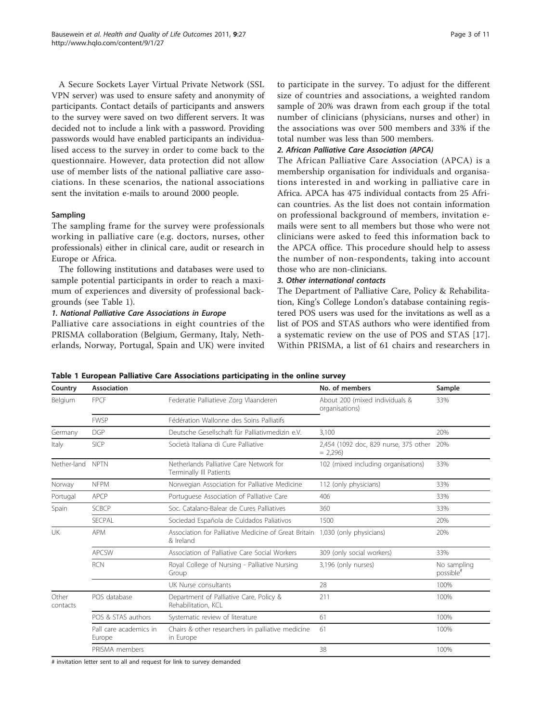A Secure Sockets Layer Virtual Private Network (SSL VPN server) was used to ensure safety and anonymity of participants. Contact details of participants and answers to the survey were saved on two different servers. It was decided not to include a link with a password. Providing passwords would have enabled participants an individualised access to the survey in order to come back to the questionnaire. However, data protection did not allow use of member lists of the national palliative care associations. In these scenarios, the national associations sent the invitation e-mails to around 2000 people.

## Sampling

The sampling frame for the survey were professionals working in palliative care (e.g. doctors, nurses, other professionals) either in clinical care, audit or research in Europe or Africa.

The following institutions and databases were used to sample potential participants in order to reach a maximum of experiences and diversity of professional backgrounds (see Table 1).

## 1. National Palliative Care Associations in Europe

Palliative care associations in eight countries of the PRISMA collaboration (Belgium, Germany, Italy, Netherlands, Norway, Portugal, Spain and UK) were invited

to participate in the survey. To adjust for the different size of countries and associations, a weighted random sample of 20% was drawn from each group if the total number of clinicians (physicians, nurses and other) in the associations was over 500 members and 33% if the total number was less than 500 members.

## 2. African Palliative Care Association (APCA)

The African Palliative Care Association (APCA) is a membership organisation for individuals and organisations interested in and working in palliative care in Africa. APCA has 475 individual contacts from 25 African countries. As the list does not contain information on professional background of members, invitation emails were sent to all members but those who were not clinicians were asked to feed this information back to the APCA office. This procedure should help to assess the number of non-respondents, taking into account those who are non-clinicians.

## 3. Other international contacts

The Department of Palliative Care, Policy & Rehabilitation, King's College London's database containing registered POS users was used for the invitations as well as a list of POS and STAS authors who were identified from a systematic review on the use of POS and STAS [[17](#page-9-0)]. Within PRISMA, a list of 61 chairs and researchers in

Table 1 European Palliative Care Associations participating in the online survey

| Country           | <b>Association</b>               |                                                                    | No. of members                                     | Sample                               |
|-------------------|----------------------------------|--------------------------------------------------------------------|----------------------------------------------------|--------------------------------------|
| Belgium           | <b>FPCF</b>                      | Federatie Palliatieve Zorg Vlaanderen                              | About 200 (mixed individuals &<br>organisations)   | 33%                                  |
|                   | <b>FWSP</b>                      | Fédération Wallonne des Soins Palliatifs                           |                                                    |                                      |
| Germany           | <b>DGP</b>                       | Deutsche Gesellschaft für Palliativmedizin e.V.                    | 3,100                                              | 20%                                  |
| Italy             | <b>SICP</b>                      | Società Italiana di Cure Palliative                                | 2,454 (1092 doc, 829 nurse, 375 other<br>$= 2,296$ | 20%                                  |
| Nether-land       | <b>NPTN</b>                      | Netherlands Palliative Care Network for<br>Terminally III Patients | 102 (mixed including organisations)                | 33%                                  |
| Norway            | <b>NFPM</b>                      | Norwegian Association for Palliative Medicine                      | 112 (only physicians)                              | 33%                                  |
| Portugal          | <b>APCP</b>                      | Portuguese Association of Palliative Care                          | 406                                                | 33%                                  |
| Spain             | <b>SCBCP</b>                     | Soc. Catalano-Balear de Cures Palliatives                          | 360                                                | 33%                                  |
|                   | <b>SECPAL</b>                    | Sociedad Española de Cuidados Paliativos                           | 1500                                               | 20%                                  |
| UK                | <b>APM</b>                       | Association for Palliative Medicine of Great Britain<br>& Ireland  | 1,030 (only physicians)                            | 20%                                  |
|                   | <b>APCSW</b>                     | Association of Palliative Care Social Workers                      | 309 (only social workers)                          | 33%                                  |
|                   | <b>RCN</b>                       | Royal College of Nursing - Palliative Nursing<br>Group             | 3,196 (only nurses)                                | No sampling<br>possible <sup>#</sup> |
|                   |                                  | UK Nurse consultants                                               | 28                                                 | 100%                                 |
| Other<br>contacts | POS database                     | Department of Palliative Care, Policy &<br>Rehabilitation, KCL     | 211                                                | 100%                                 |
|                   | POS & STAS authors               | Systematic review of literature                                    | 61                                                 | 100%                                 |
|                   | Pall care academics in<br>Europe | Chairs & other researchers in palliative medicine<br>in Europe     | 61                                                 | 100%                                 |
|                   | PRISMA members                   |                                                                    | 38                                                 | 100%                                 |

# invitation letter sent to all and request for link to survey demanded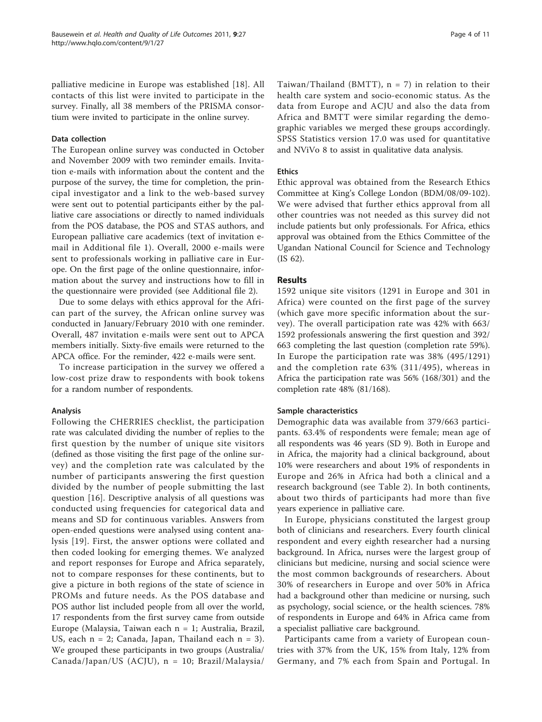palliative medicine in Europe was established [[18](#page-9-0)]. All contacts of this list were invited to participate in the survey. Finally, all 38 members of the PRISMA consortium were invited to participate in the online survey.

## Data collection

The European online survey was conducted in October and November 2009 with two reminder emails. Invitation e-mails with information about the content and the purpose of the survey, the time for completion, the principal investigator and a link to the web-based survey were sent out to potential participants either by the palliative care associations or directly to named individuals from the POS database, the POS and STAS authors, and European palliative care academics (text of invitation email in Additional file [1](#page-9-0)). Overall, 2000 e-mails were sent to professionals working in palliative care in Europe. On the first page of the online questionnaire, information about the survey and instructions how to fill in the questionnaire were provided (see Additional file [2](#page-9-0)).

Due to some delays with ethics approval for the African part of the survey, the African online survey was conducted in January/February 2010 with one reminder. Overall, 487 invitation e-mails were sent out to APCA members initially. Sixty-five emails were returned to the APCA office. For the reminder, 422 e-mails were sent.

To increase participation in the survey we offered a low-cost prize draw to respondents with book tokens for a random number of respondents.

#### Analysis

Following the CHERRIES checklist, the participation rate was calculated dividing the number of replies to the first question by the number of unique site visitors (defined as those visiting the first page of the online survey) and the completion rate was calculated by the number of participants answering the first question divided by the number of people submitting the last question [[16](#page-9-0)]. Descriptive analysis of all questions was conducted using frequencies for categorical data and means and SD for continuous variables. Answers from open-ended questions were analysed using content analysis [[19](#page-9-0)]. First, the answer options were collated and then coded looking for emerging themes. We analyzed and report responses for Europe and Africa separately, not to compare responses for these continents, but to give a picture in both regions of the state of science in PROMs and future needs. As the POS database and POS author list included people from all over the world, 17 respondents from the first survey came from outside Europe (Malaysia, Taiwan each n = 1; Australia, Brazil, US, each  $n = 2$ ; Canada, Japan, Thailand each  $n = 3$ ). We grouped these participants in two groups (Australia/ Canada/Japan/US (ACJU), n = 10; Brazil/Malaysia/ Taiwan/Thailand (BMTT),  $n = 7$ ) in relation to their health care system and socio-economic status. As the data from Europe and ACJU and also the data from Africa and BMTT were similar regarding the demographic variables we merged these groups accordingly. SPSS Statistics version 17.0 was used for quantitative and NViVo 8 to assist in qualitative data analysis.

## Ethics

Ethic approval was obtained from the Research Ethics Committee at King's College London (BDM/08/09-102). We were advised that further ethics approval from all other countries was not needed as this survey did not include patients but only professionals. For Africa, ethics approval was obtained from the Ethics Committee of the Ugandan National Council for Science and Technology (IS 62).

## Results

1592 unique site visitors (1291 in Europe and 301 in Africa) were counted on the first page of the survey (which gave more specific information about the survey). The overall participation rate was 42% with 663/ 1592 professionals answering the first question and 392/ 663 completing the last question (completion rate 59%). In Europe the participation rate was 38% (495/1291) and the completion rate 63% (311/495), whereas in Africa the participation rate was 56% (168/301) and the completion rate 48% (81/168).

#### Sample characteristics

Demographic data was available from 379/663 participants. 63.4% of respondents were female; mean age of all respondents was 46 years (SD 9). Both in Europe and in Africa, the majority had a clinical background, about 10% were researchers and about 19% of respondents in Europe and 26% in Africa had both a clinical and a research background (see Table [2](#page-4-0)). In both continents, about two thirds of participants had more than five years experience in palliative care.

In Europe, physicians constituted the largest group both of clinicians and researchers. Every fourth clinical respondent and every eighth researcher had a nursing background. In Africa, nurses were the largest group of clinicians but medicine, nursing and social science were the most common backgrounds of researchers. About 30% of researchers in Europe and over 50% in Africa had a background other than medicine or nursing, such as psychology, social science, or the health sciences. 78% of respondents in Europe and 64% in Africa came from a specialist palliative care background.

Participants came from a variety of European countries with 37% from the UK, 15% from Italy, 12% from Germany, and 7% each from Spain and Portugal. In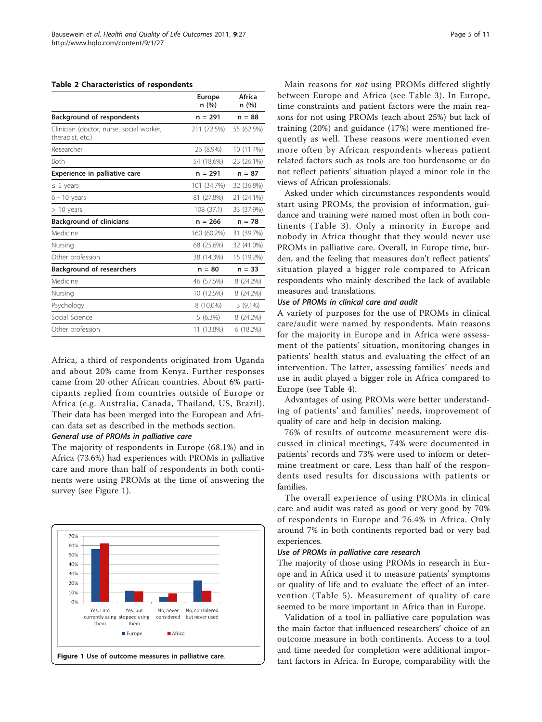#### <span id="page-4-0"></span>Table 2 Characteristics of respondents

|                                                              | <b>Europe</b><br>n(%) | Africa<br>n (%) |
|--------------------------------------------------------------|-----------------------|-----------------|
| <b>Background of respondents</b>                             | $n = 291$             | $n = 88$        |
| Clinician (doctor, nurse, social worker,<br>therapist, etc.) | 211 (72.5%)           | 55 (62.5%)      |
| Researcher                                                   | 26 (8.9%)             | 10 (11.4%)      |
| <b>Both</b>                                                  | 54 (18.6%)            | 23 (26.1%)      |
| Experience in palliative care                                | $n = 291$             | $n = 87$        |
| $\leq$ 5 years                                               | 101 (34.7%)           | 32 (36.8%)      |
| $6 - 10$ years                                               | 81 (27.8%)            | 21 (24.1%)      |
| $>10$ years                                                  | 108 (37.1)            | 33 (37.9%)      |
| <b>Background of clinicians</b>                              | $n = 266$             | $n = 78$        |
| Medicine                                                     | 160 (60.2%)           | 31 (39.7%)      |
| Nursing                                                      | 68 (25.6%)            | 32 (41.0%)      |
| Other profession                                             | 38 (14.3%)            | 15 (19.2%)      |
| <b>Background of researchers</b>                             | $n = 80$              | $n = 33$        |
| Medicine                                                     | 46 (57.5%)            | 8 (24.2%)       |
| Nursing                                                      | 10 (12.5%)            | 8 (24.2%)       |
| Psychology                                                   | 8 (10.0%)             | $3(9.1\%)$      |
| Social Science                                               | $5(6.3\%)$            | 8 (24.2%)       |
| Other profession                                             | 11 (13.8%)            | 6(18.2%)        |

Africa, a third of respondents originated from Uganda and about 20% came from Kenya. Further responses came from 20 other African countries. About 6% participants replied from countries outside of Europe or Africa (e.g. Australia, Canada, Thailand, US, Brazil). Their data has been merged into the European and African data set as described in the methods section.

## General use of PROMs in palliative care

The majority of respondents in Europe (68.1%) and in Africa (73.6%) had experiences with PROMs in palliative care and more than half of respondents in both continents were using PROMs at the time of answering the survey (see Figure 1).



Main reasons for not using PROMs differed slightly between Europe and Africa (see Table [3\)](#page-5-0). In Europe, time constraints and patient factors were the main reasons for not using PROMs (each about 25%) but lack of training (20%) and guidance (17%) were mentioned frequently as well. These reasons were mentioned even more often by African respondents whereas patient related factors such as tools are too burdensome or do not reflect patients' situation played a minor role in the views of African professionals.

Asked under which circumstances respondents would start using PROMs, the provision of information, guidance and training were named most often in both continents (Table [3](#page-5-0)). Only a minority in Europe and nobody in Africa thought that they would never use PROMs in palliative care. Overall, in Europe time, burden, and the feeling that measures don't reflect patients' situation played a bigger role compared to African respondents who mainly described the lack of available measures and translations.

## Use of PROMs in clinical care and audit

A variety of purposes for the use of PROMs in clinical care/audit were named by respondents. Main reasons for the majority in Europe and in Africa were assessment of the patients' situation, monitoring changes in patients' health status and evaluating the effect of an intervention. The latter, assessing families' needs and use in audit played a bigger role in Africa compared to Europe (see Table [4](#page-5-0)).

Advantages of using PROMs were better understanding of patients' and families' needs, improvement of quality of care and help in decision making.

76% of results of outcome measurement were discussed in clinical meetings, 74% were documented in patients' records and 73% were used to inform or determine treatment or care. Less than half of the respondents used results for discussions with patients or families.

The overall experience of using PROMs in clinical care and audit was rated as good or very good by 70% of respondents in Europe and 76.4% in Africa. Only around 7% in both continents reported bad or very bad experiences.

#### Use of PROMs in palliative care research

The majority of those using PROMs in research in Europe and in Africa used it to measure patients' symptoms or quality of life and to evaluate the effect of an intervention (Table [5\)](#page-6-0). Measurement of quality of care seemed to be more important in Africa than in Europe.

Validation of a tool in palliative care population was the main factor that influenced researchers' choice of an outcome measure in both continents. Access to a tool and time needed for completion were additional important factors in Africa. In Europe, comparability with the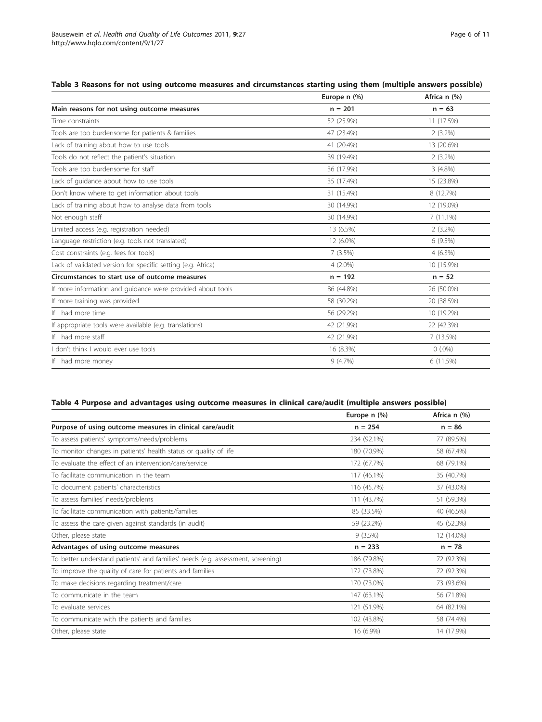<span id="page-5-0"></span>

|                                                              | Europe n (%) | Africa n (%) |
|--------------------------------------------------------------|--------------|--------------|
| Main reasons for not using outcome measures                  | $n = 201$    | $n = 63$     |
| Time constraints                                             | 52 (25.9%)   | 11 (17.5%)   |
| Tools are too burdensome for patients & families             | 47 (23.4%)   | $2(3.2\%)$   |
| Lack of training about how to use tools                      | 41 (20.4%)   | 13 (20.6%)   |
| Tools do not reflect the patient's situation                 | 39 (19.4%)   | $2(3.2\%)$   |
| Tools are too burdensome for staff                           | 36 (17.9%)   | $3(4.8\%)$   |
| Lack of quidance about how to use tools                      | 35 (17.4%)   | 15 (23.8%)   |
| Don't know where to get information about tools              | 31 (15.4%)   | 8 (12.7%)    |
| Lack of training about how to analyse data from tools        | 30 (14.9%)   | 12 (19.0%)   |
| Not enough staff                                             | 30 (14.9%)   | 7(11.1%)     |
| Limited access (e.g. registration needed)                    | 13 (6.5%)    | $2(3.2\%)$   |
| Language restriction (e.g. tools not translated)             | 12 (6.0%)    | 6(9.5%)      |
| Cost constraints (e.g. fees for tools)                       | 7(3.5%)      | $4(6.3\%)$   |
| Lack of validated version for specific setting (e.g. Africa) | $4(2.0\%)$   | 10 (15.9%)   |
| Circumstances to start use of outcome measures               | $n = 192$    | $n = 52$     |
| If more information and quidance were provided about tools   | 86 (44.8%)   | 26 (50.0%)   |
| If more training was provided                                | 58 (30.2%)   | 20 (38.5%)   |
| If I had more time                                           | 56 (29.2%)   | 10 (19.2%)   |
| If appropriate tools were available (e.g. translations)      | 42 (21.9%)   | 22 (42.3%)   |
| If I had more staff                                          | 42 (21.9%)   | 7(13.5%)     |
| don't think I would ever use tools                           | 16 (8.3%)    | $0(.0\%)$    |
| If I had more money                                          | 9(4.7%)      | 6 (11.5%)    |

## Table 4 Purpose and advantages using outcome measures in clinical care/audit (multiple answers possible)

|                                                                                 | Europe n (%) | Africa n (%) |
|---------------------------------------------------------------------------------|--------------|--------------|
| Purpose of using outcome measures in clinical care/audit                        | $n = 254$    | $n = 86$     |
| To assess patients' symptoms/needs/problems                                     | 234 (92.1%)  | 77 (89.5%)   |
| To monitor changes in patients' health status or quality of life                | 180 (70.9%)  | 58 (67.4%)   |
| To evaluate the effect of an intervention/care/service                          | 172 (67.7%)  | 68 (79.1%)   |
| To facilitate communication in the team                                         | 117 (46.1%)  | 35 (40.7%)   |
| To document patients' characteristics                                           | 116 (45.7%)  | 37 (43.0%)   |
| To assess families' needs/problems                                              | 111 (43.7%)  | 51 (59.3%)   |
| To facilitate communication with patients/families                              | 85 (33.5%)   | 40 (46.5%)   |
| To assess the care given against standards (in audit)                           | 59 (23.2%)   | 45 (52.3%)   |
| Other, please state                                                             | 9(3.5%)      | 12 (14.0%)   |
| Advantages of using outcome measures                                            | $n = 233$    | $n = 78$     |
| To better understand patients' and families' needs (e.g. assessment, screening) | 186 (79.8%)  | 72 (92.3%)   |
| To improve the quality of care for patients and families                        | 172 (73.8%)  | 72 (92.3%)   |
| To make decisions regarding treatment/care                                      | 170 (73.0%)  | 73 (93.6%)   |
| To communicate in the team                                                      | 147 (63.1%)  | 56 (71.8%)   |
| To evaluate services                                                            | 121 (51.9%)  | 64 (82.1%)   |
| To communicate with the patients and families                                   | 102 (43.8%)  | 58 (74.4%)   |
| Other, please state                                                             | 16 (6.9%)    | 14 (17.9%)   |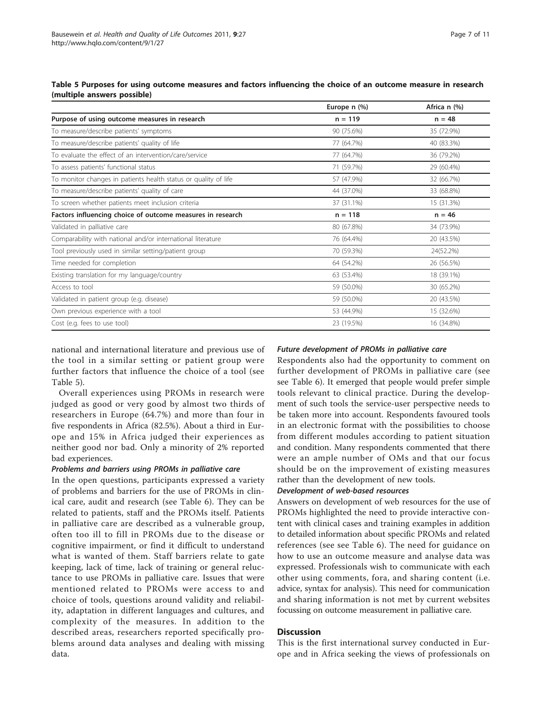|                                                                 | Europe n (%) | Africa n (%) |
|-----------------------------------------------------------------|--------------|--------------|
| Purpose of using outcome measures in research                   | $n = 119$    | $n = 48$     |
| To measure/describe patients' symptoms                          | 90 (75.6%)   | 35 (72.9%)   |
| To measure/describe patients' quality of life                   | 77 (64.7%)   | 40 (83.3%)   |
| To evaluate the effect of an intervention/care/service          | 77 (64.7%)   | 36 (79.2%)   |
| To assess patients' functional status                           | 71 (59.7%)   | 29 (60.4%)   |
| To monitor changes in patients health status or quality of life | 57 (47.9%)   | 32 (66.7%)   |
| To measure/describe patients' quality of care                   | 44 (37.0%)   | 33 (68.8%)   |
| To screen whether patients meet inclusion criteria              | 37 (31.1%)   | 15 (31.3%)   |
| Factors influencing choice of outcome measures in research      | $n = 118$    | $n = 46$     |
| Validated in palliative care                                    | 80 (67.8%)   | 34 (73.9%)   |
| Comparability with national and/or international literature     | 76 (64.4%)   | 20 (43.5%)   |
| Tool previously used in similar setting/patient group           | 70 (59.3%)   | 24(52.2%)    |
| Time needed for completion                                      | 64 (54.2%)   | 26 (56.5%)   |
| Existing translation for my language/country                    | 63 (53.4%)   | 18 (39.1%)   |
| Access to tool                                                  | 59 (50.0%)   | 30 (65.2%)   |
| Validated in patient group (e.g. disease)                       | 59 (50.0%)   | 20 (43.5%)   |
| Own previous experience with a tool                             | 53 (44.9%)   | 15 (32.6%)   |
| Cost (e.g. fees to use tool)                                    | 23 (19.5%)   | 16 (34.8%)   |

<span id="page-6-0"></span>Table 5 Purposes for using outcome measures and factors influencing the choice of an outcome measure in research (multiple answers possible)

national and international literature and previous use of the tool in a similar setting or patient group were further factors that influence the choice of a tool (see Table 5).

Overall experiences using PROMs in research were judged as good or very good by almost two thirds of researchers in Europe (64.7%) and more than four in five respondents in Africa (82.5%). About a third in Europe and 15% in Africa judged their experiences as neither good nor bad. Only a minority of 2% reported bad experiences.

## Problems and barriers using PROMs in palliative care

In the open questions, participants expressed a variety of problems and barriers for the use of PROMs in clinical care, audit and research (see Table [6\)](#page-7-0). They can be related to patients, staff and the PROMs itself. Patients in palliative care are described as a vulnerable group, often too ill to fill in PROMs due to the disease or cognitive impairment, or find it difficult to understand what is wanted of them. Staff barriers relate to gate keeping, lack of time, lack of training or general reluctance to use PROMs in palliative care. Issues that were mentioned related to PROMs were access to and choice of tools, questions around validity and reliability, adaptation in different languages and cultures, and complexity of the measures. In addition to the described areas, researchers reported specifically problems around data analyses and dealing with missing data.

## Future development of PROMs in palliative care

Respondents also had the opportunity to comment on further development of PROMs in palliative care (see see Table [6](#page-7-0)). It emerged that people would prefer simple tools relevant to clinical practice. During the development of such tools the service-user perspective needs to be taken more into account. Respondents favoured tools in an electronic format with the possibilities to choose from different modules according to patient situation and condition. Many respondents commented that there were an ample number of OMs and that our focus should be on the improvement of existing measures rather than the development of new tools.

## Development of web-based resources

Answers on development of web resources for the use of PROMs highlighted the need to provide interactive content with clinical cases and training examples in addition to detailed information about specific PROMs and related references (see see Table [6](#page-7-0)). The need for guidance on how to use an outcome measure and analyse data was expressed. Professionals wish to communicate with each other using comments, fora, and sharing content (i.e. advice, syntax for analysis). This need for communication and sharing information is not met by current websites focussing on outcome measurement in palliative care.

## Discussion

This is the first international survey conducted in Europe and in Africa seeking the views of professionals on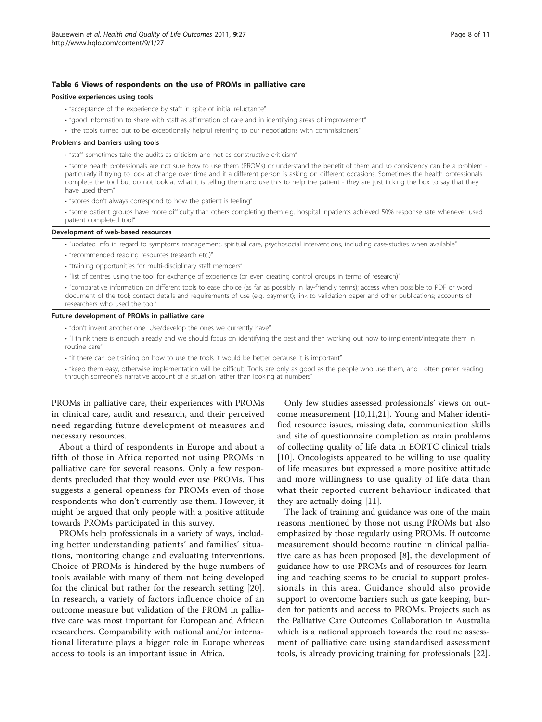#### <span id="page-7-0"></span>Table 6 Views of respondents on the use of PROMs in palliative care

#### Positive experiences using tools

- "acceptance of the experience by staff in spite of initial reluctance"
- "good information to share with staff as affirmation of care and in identifying areas of improvement"
- "the tools turned out to be exceptionally helpful referring to our negotiations with commissioners"

#### Problems and barriers using tools

• "staff sometimes take the audits as criticism and not as constructive criticism"

• "some health professionals are not sure how to use them (PROMs) or understand the benefit of them and so consistency can be a problem particularly if trying to look at change over time and if a different person is asking on different occasions. Sometimes the health professionals complete the tool but do not look at what it is telling them and use this to help the patient - they are just ticking the box to say that they have used them"

• "scores don't always correspond to how the patient is feeling"

• "some patient groups have more difficulty than others completing them e.g. hospital inpatients achieved 50% response rate whenever used patient completed tool"

#### Development of web-based resources

- "updated info in regard to symptoms management, spiritual care, psychosocial interventions, including case-studies when available"
- "recommended reading resources (research etc.)"
- "training opportunities for multi-disciplinary staff members"
- "list of centres using the tool for exchange of experience (or even creating control groups in terms of research)"

• "comparative information on different tools to ease choice (as far as possibly in lay-friendly terms); access when possible to PDF or word document of the tool; contact details and requirements of use (e.g. payment); link to validation paper and other publications; accounts of researchers who used the tool"

#### Future development of PROMs in palliative care

- "don't invent another one! Use/develop the ones we currently have"
- "I think there is enough already and we should focus on identifying the best and then working out how to implement/integrate them in routine care"
- "if there can be training on how to use the tools it would be better because it is important"
- "keep them easy, otherwise implementation will be difficult. Tools are only as good as the people who use them, and I often prefer reading through someone's narrative account of a situation rather than looking at numbers"

PROMs in palliative care, their experiences with PROMs in clinical care, audit and research, and their perceived need regarding future development of measures and necessary resources.

About a third of respondents in Europe and about a fifth of those in Africa reported not using PROMs in palliative care for several reasons. Only a few respondents precluded that they would ever use PROMs. This suggests a general openness for PROMs even of those respondents who don't currently use them. However, it might be argued that only people with a positive attitude towards PROMs participated in this survey.

PROMs help professionals in a variety of ways, including better understanding patients' and families' situations, monitoring change and evaluating interventions. Choice of PROMs is hindered by the huge numbers of tools available with many of them not being developed for the clinical but rather for the research setting [[20\]](#page-10-0). In research, a variety of factors influence choice of an outcome measure but validation of the PROM in palliative care was most important for European and African researchers. Comparability with national and/or international literature plays a bigger role in Europe whereas access to tools is an important issue in Africa.

Only few studies assessed professionals' views on outcome measurement [\[10,11](#page-9-0)[,21](#page-10-0)]. Young and Maher identified resource issues, missing data, communication skills and site of questionnaire completion as main problems of collecting quality of life data in EORTC clinical trials [[10](#page-9-0)]. Oncologists appeared to be willing to use quality of life measures but expressed a more positive attitude and more willingness to use quality of life data than what their reported current behaviour indicated that they are actually doing [\[11](#page-9-0)].

The lack of training and guidance was one of the main reasons mentioned by those not using PROMs but also emphasized by those regularly using PROMs. If outcome measurement should become routine in clinical palliative care as has been proposed [\[8](#page-9-0)], the development of guidance how to use PROMs and of resources for learning and teaching seems to be crucial to support professionals in this area. Guidance should also provide support to overcome barriers such as gate keeping, burden for patients and access to PROMs. Projects such as the Palliative Care Outcomes Collaboration in Australia which is a national approach towards the routine assessment of palliative care using standardised assessment tools, is already providing training for professionals [\[22](#page-10-0)].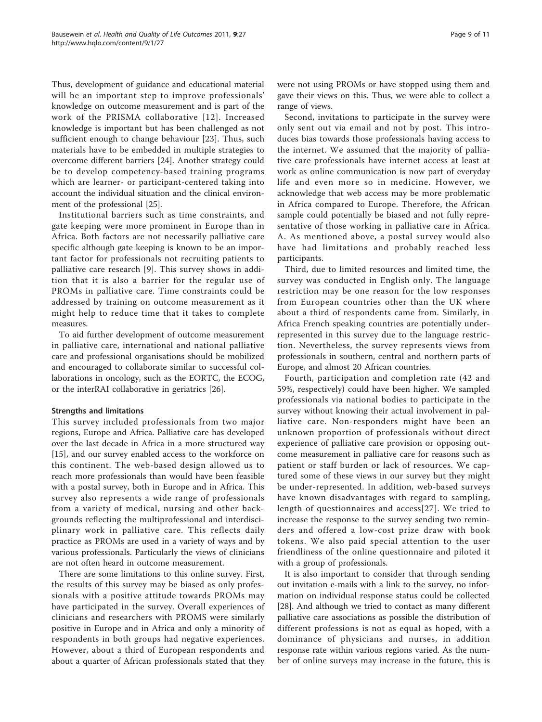Thus, development of guidance and educational material will be an important step to improve professionals' knowledge on outcome measurement and is part of the work of the PRISMA collaborative [[12\]](#page-9-0). Increased knowledge is important but has been challenged as not sufficient enough to change behaviour [\[23](#page-10-0)]. Thus, such materials have to be embedded in multiple strategies to overcome different barriers [\[24](#page-10-0)]. Another strategy could be to develop competency-based training programs which are learner- or participant-centered taking into account the individual situation and the clinical environment of the professional [\[25](#page-10-0)].

Institutional barriers such as time constraints, and gate keeping were more prominent in Europe than in Africa. Both factors are not necessarily palliative care specific although gate keeping is known to be an important factor for professionals not recruiting patients to palliative care research [[9](#page-9-0)]. This survey shows in addition that it is also a barrier for the regular use of PROMs in palliative care. Time constraints could be addressed by training on outcome measurement as it might help to reduce time that it takes to complete measures.

To aid further development of outcome measurement in palliative care, international and national palliative care and professional organisations should be mobilized and encouraged to collaborate similar to successful collaborations in oncology, such as the EORTC, the ECOG, or the interRAI collaborative in geriatrics [[26\]](#page-10-0).

## Strengths and limitations

This survey included professionals from two major regions, Europe and Africa. Palliative care has developed over the last decade in Africa in a more structured way [[15\]](#page-9-0), and our survey enabled access to the workforce on this continent. The web-based design allowed us to reach more professionals than would have been feasible with a postal survey, both in Europe and in Africa. This survey also represents a wide range of professionals from a variety of medical, nursing and other backgrounds reflecting the multiprofessional and interdisciplinary work in palliative care. This reflects daily practice as PROMs are used in a variety of ways and by various professionals. Particularly the views of clinicians are not often heard in outcome measurement.

There are some limitations to this online survey. First, the results of this survey may be biased as only professionals with a positive attitude towards PROMs may have participated in the survey. Overall experiences of clinicians and researchers with PROMS were similarly positive in Europe and in Africa and only a minority of respondents in both groups had negative experiences. However, about a third of European respondents and about a quarter of African professionals stated that they Page 9 of 11

were not using PROMs or have stopped using them and gave their views on this. Thus, we were able to collect a range of views.

Second, invitations to participate in the survey were only sent out via email and not by post. This introduces bias towards those professionals having access to the internet. We assumed that the majority of palliative care professionals have internet access at least at work as online communication is now part of everyday life and even more so in medicine. However, we acknowledge that web access may be more problematic in Africa compared to Europe. Therefore, the African sample could potentially be biased and not fully representative of those working in palliative care in Africa. A. As mentioned above, a postal survey would also have had limitations and probably reached less participants.

Third, due to limited resources and limited time, the survey was conducted in English only. The language restriction may be one reason for the low responses from European countries other than the UK where about a third of respondents came from. Similarly, in Africa French speaking countries are potentially underrepresented in this survey due to the language restriction. Nevertheless, the survey represents views from professionals in southern, central and northern parts of Europe, and almost 20 African countries.

Fourth, participation and completion rate (42 and 59%, respectively) could have been higher. We sampled professionals via national bodies to participate in the survey without knowing their actual involvement in palliative care. Non-responders might have been an unknown proportion of professionals without direct experience of palliative care provision or opposing outcome measurement in palliative care for reasons such as patient or staff burden or lack of resources. We captured some of these views in our survey but they might be under-represented. In addition, web-based surveys have known disadvantages with regard to sampling, length of questionnaires and access[[27](#page-10-0)]. We tried to increase the response to the survey sending two reminders and offered a low-cost prize draw with book tokens. We also paid special attention to the user friendliness of the online questionnaire and piloted it with a group of professionals.

It is also important to consider that through sending out invitation e-mails with a link to the survey, no information on individual response status could be collected [[28\]](#page-10-0). And although we tried to contact as many different palliative care associations as possible the distribution of different professions is not as equal as hoped, with a dominance of physicians and nurses, in addition response rate within various regions varied. As the number of online surveys may increase in the future, this is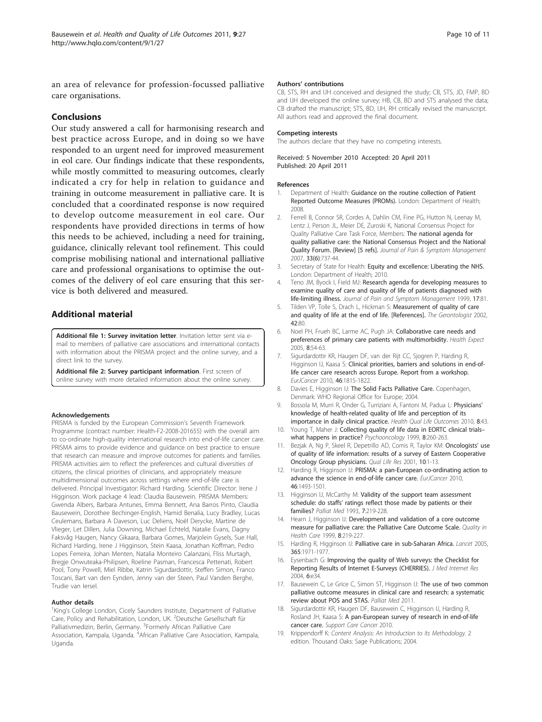<span id="page-9-0"></span>an area of relevance for profession-focussed palliative care organisations.

## Conclusions

Our study answered a call for harmonising research and best practice across Europe, and in doing so we have responded to an urgent need for improved measurement in eol care. Our findings indicate that these respondents, while mostly committed to measuring outcomes, clearly indicated a cry for help in relation to guidance and training in outcome measurement in palliative care. It is concluded that a coordinated response is now required to develop outcome measurement in eol care. Our respondents have provided directions in terms of how this needs to be achieved, including a need for training, guidance, clinically relevant tool refinement. This could comprise mobilising national and international palliative care and professional organisations to optimise the outcomes of the delivery of eol care ensuring that this service is both delivered and measured.

## Additional material

[Additional file 1: S](http://www.biomedcentral.com/content/supplementary/1477-7525-9-27-S1.PDF)urvey invitation letter. Invitation letter sent via email to members of palliative care associations and international contacts with information about the PRISMA project and the online survey, and a direct link to the survey.

[Additional file 2: S](http://www.biomedcentral.com/content/supplementary/1477-7525-9-27-S2.PDF)urvey participant information. First screen of online survey with more detailed information about the online survey.

#### Acknowledgements

PRISMA is funded by the European Commission's Seventh Framework Programme (contract number: Health-F2-2008-201655) with the overall aim to co-ordinate high-quality international research into end-of-life cancer care. PRISMA aims to provide evidence and guidance on best practice to ensure that research can measure and improve outcomes for patients and families. PRISMA activities aim to reflect the preferences and cultural diversities of citizens, the clinical priorities of clinicians, and appropriately measure multidimensional outcomes across settings where end-of-life care is delivered. Principal Investigator: Richard Harding. Scientific Director: Irene J Higginson. Work package 4 lead: Claudia Bausewein. PRISMA Members: Gwenda Albers, Barbara Antunes, Emma Bennett, Ana Barros Pinto, Claudia Bausewein, Dorothee Bechinger-English, Hamid Benalia, Lucy Bradley, Lucas Ceulemans, Barbara A Daveson, Luc Deliens, Noël Derycke, Martine de Vlieger, Let Dillen, Julia Downing, Michael Echteld, Natalie Evans, Dagny Faksvåg Haugen, Nancy Gikaara, Barbara Gomes, Marjolein Gysels, Sue Hall, Richard Harding, Irene J Higginson, Stein Kaasa, Jonathan Koffman, Pedro Lopes Ferreira, Johan Menten, Natalia Monteiro Calanzani, Fliss Murtagh, Bregje Onwuteaka-Philipsen, Roeline Pasman, Francesca Pettenati, Robert Pool, Tony Powell, Miel Ribbe, Katrin Sigurdardottir, Steffen Simon, Franco Toscani, Bart van den Eynden, Jenny van der Steen, Paul Vanden Berghe, Trudie van Iersel.

#### Author details

<sup>1</sup>King's College London, Cicely Saunders Institute, Department of Palliative Care, Policy and Rehabilitation, London, UK. <sup>2</sup>Deutsche Gesellschaft für Palliativmedizin, Berlin, Germany. <sup>3</sup>Formerly African Palliative Care Association, Kampala, Uganda. <sup>4</sup>African Palliative Care Association, Kampala, Uganda.

#### Authors' contributions

CB, STS, RH and IJH conceived and designed the study; CB, STS, JD, FMP, BD and IJH developed the online survey; HB, CB, BD and STS analysed the data; CB drafted the manuscript; STS, BD, IJH, RH critically revised the manuscript. All authors read and approved the final document.

#### Competing interests

The authors declare that they have no competing interests.

Received: 5 November 2010 Accepted: 20 April 2011 Published: 20 April 2011

#### References

- 1. Department of Health: Guidance on the routine collection of Patient Reported Outcome Measures (PROMs). London: Department of Health; 2008.
- 2. Ferrell B, Connor SR, Cordes A, Dahlin CM, Fine PG, Hutton N, Leenay M, Lentz J, Person JL, Meier DE, Zuroski K, National Consensus Project for Quality Palliative Care Task Force, Members: [The national agenda for](http://www.ncbi.nlm.nih.gov/pubmed/21515090?dopt=Abstract) [quality palliative care: the National Consensus Project and the National](http://www.ncbi.nlm.nih.gov/pubmed/21515090?dopt=Abstract) [Quality Forum. \[Review\] \[5 refs\].](http://www.ncbi.nlm.nih.gov/pubmed/21515090?dopt=Abstract) Journal of Pain & Symptom Management 2007, 33(6):737-44.
- 3. Secretary of State for Health: Equity and excellence: Liberating the NHS. London: Department of Health; 2010.
- 4. Teno JM, Byock I, Field MJ: Research agenda for developing measures to examine quality of care and quality of life of patients diagnosed with life-limiting illness. Journal of Pain and Symptom Management 1999, 17:81.
- 5. Tilden VP, Tolle S, Drach L, Hickman S: Measurement of quality of care and quality of life at the end of life. [References]. The Gerontologist 2002, 42:80.
- 6. Noel PH, Frueh BC, Larme AC, Pugh JA: [Collaborative care needs and](http://www.ncbi.nlm.nih.gov/pubmed/15713171?dopt=Abstract) [preferences of primary care patients with multimorbidity.](http://www.ncbi.nlm.nih.gov/pubmed/15713171?dopt=Abstract) Health Expect 2005, 8:54-63.
- 7. Sigurdardottir KR, Haugen DF, van der Rijt CC, Sjogren P, Harding R, Higginson IJ, Kaasa S: Clinical priorities, barriers and solutions in end-oflife cancer care research across Europe. Report from a workshop. EurJCancer 2010, 46:1815-1822.
- 8. Davies E, Higginson IJ: The Solid Facts Palliative Care. Copenhagen, Denmark: WHO Regional Office for Europe; 2004.
- 9. Bossola M, Murri R, Onder G, Turriziani A, Fantoni M, Padua L: [Physicians](http://www.ncbi.nlm.nih.gov/pubmed/20416062?dopt=Abstract)' [knowledge of health-related quality of life and perception of its](http://www.ncbi.nlm.nih.gov/pubmed/20416062?dopt=Abstract) [importance in daily clinical practice.](http://www.ncbi.nlm.nih.gov/pubmed/20416062?dopt=Abstract) Health Qual Life Outcomes 2010, 8:43.
- 10. Young T, Maher J: [Collecting quality of life data in EORTC clinical trials](http://www.ncbi.nlm.nih.gov/pubmed/10390738?dopt=Abstract)[what happens in practice?](http://www.ncbi.nlm.nih.gov/pubmed/10390738?dopt=Abstract) Psychooncology 1999, 8:260-263.
- 11. Bezjak A, Ng P, Skeel R, Depetrillo AD, Comis R, Taylor KM: [Oncologists](http://www.ncbi.nlm.nih.gov/pubmed/11508471?dopt=Abstract)' use [of quality of life information: results of a survey of Eastern Cooperative](http://www.ncbi.nlm.nih.gov/pubmed/11508471?dopt=Abstract) [Oncology Group physicians.](http://www.ncbi.nlm.nih.gov/pubmed/11508471?dopt=Abstract) Qual Life Res 2001, 10:1-13.
- 12. Harding R, Higginson IJ: PRISMA: a pan-European co-ordinating action to advance the science in end-of-life cancer care. EurJCancer 2010, 46:1493-1501.
- 13. Higginson IJ, McCarthy M: [Validity of the support team assessment](http://www.ncbi.nlm.nih.gov/pubmed/7505183?dopt=Abstract) schedule: do staffs' [ratings reflect those made by patients or their](http://www.ncbi.nlm.nih.gov/pubmed/7505183?dopt=Abstract) [families?](http://www.ncbi.nlm.nih.gov/pubmed/7505183?dopt=Abstract) Palliat Med 1993, 7:219-228.
- 14. Hearn J, Higginson IJ: [Development and validation of a core outcome](http://www.ncbi.nlm.nih.gov/pubmed/10847883?dopt=Abstract) [measure for palliative care: the Palliative Care Outcome Scale.](http://www.ncbi.nlm.nih.gov/pubmed/10847883?dopt=Abstract) Quality in Health Care 1999, 8:219-227.
- 15. Harding R, Higginson IJ: [Palliative care in sub-Saharan Africa.](http://www.ncbi.nlm.nih.gov/pubmed/15936427?dopt=Abstract) Lancet 2005, 365:1971-1977.
- 16. Eysenbach G: [Improving the quality of Web surveys: the Checklist for](http://www.ncbi.nlm.nih.gov/pubmed/15471760?dopt=Abstract) [Reporting Results of Internet E-Surveys \(CHERRIES\).](http://www.ncbi.nlm.nih.gov/pubmed/15471760?dopt=Abstract) J Med Internet Res 2004, 6:e34.
- 17. Bausewein C, Le Grice C, Simon ST, Higginson IJ: The use of two common palliative outcome measures in clinical care and research: a systematic review about POS and STAS. Palliat Med 2011.
- 18. Sigurdardottir KR, Haugen DF, Bausewein C, Higginson IJ, Harding R, Rosland JH, Kaasa S: A pan-European survey of research in end-of-life cancer care. Support Care Cancer 2010.
- 19. Krippendorff K: Content Analysis: An Introduction to Its Methodology. 2 edition. Thousand Oaks: Sage Publications; 2004.